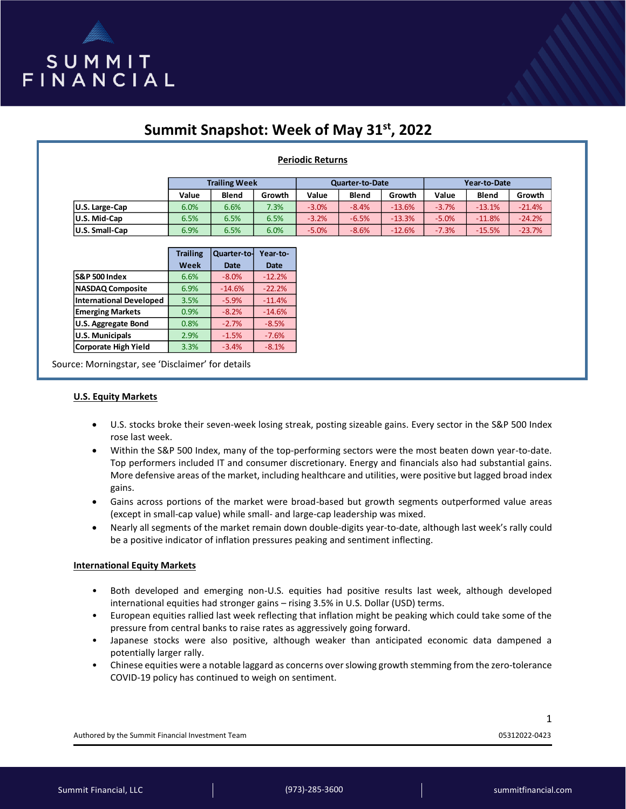

# **Summit Snapshot: Week of May 31st, 2022**

## **Periodic Returns**

|                       | <b>Trailing Week</b> |              |        | <b>Quarter-to-Date</b> |              |          | Year-to-Date |              |          |
|-----------------------|----------------------|--------------|--------|------------------------|--------------|----------|--------------|--------------|----------|
|                       | Value                | <b>Blend</b> | Growth | Value                  | <b>Blend</b> | Growth   | Value        | <b>Blend</b> | Growth   |
| U.S. Large-Cap        | 6.0%                 | 6.6%         | 7.3%   | $-3.0%$                | $-8.4%$      | $-13.6%$ | $-3.7%$      | $-13.1%$     | $-21.4%$ |
| U.S. Mid-Cap          | 6.5%                 | 6.5%         | 6.5%   | $-3.2%$                | $-6.5%$      | $-13.3%$ | $-5.0%$      | $-11.8%$     | $-24.2%$ |
| <b>U.S. Small-Cap</b> | 6.9%                 | 6.5%         | 6.0%   | $-5.0%$                | $-8.6%$      | $-12.6%$ | $-7.3%$      | $-15.5%$     | $-23.7%$ |

|                                | <b>Trailing</b> | Quarter-to- | Year-to-    |
|--------------------------------|-----------------|-------------|-------------|
|                                | Week            | <b>Date</b> | <b>Date</b> |
| <b>S&amp;P 500 Index</b>       | 6.6%            | $-8.0%$     | $-12.2%$    |
| <b>NASDAQ Composite</b>        | 6.9%            | $-14.6%$    | $-22.2%$    |
| <b>International Developed</b> | 3.5%            | $-5.9%$     | $-11.4%$    |
| <b>Emerging Markets</b>        | 0.9%            | $-8.2%$     | $-14.6%$    |
| <b>U.S. Aggregate Bond</b>     | 0.8%            | $-2.7%$     | $-8.5%$     |
| <b>U.S. Municipals</b>         | 2.9%            | $-1.5%$     | $-7.6%$     |
| <b>Corporate High Yield</b>    | 3.3%            | $-3.4%$     | $-8.1%$     |

Source: Morningstar, see 'Disclaimer' for details

#### **U.S. Equity Markets**

- U.S. stocks broke their seven-week losing streak, posting sizeable gains. Every sector in the S&P 500 Index rose last week.
- Within the S&P 500 Index, many of the top-performing sectors were the most beaten down year-to-date. Top performers included IT and consumer discretionary. Energy and financials also had substantial gains. More defensive areas of the market, including healthcare and utilities, were positive but lagged broad index gains.
- Gains across portions of the market were broad-based but growth segments outperformed value areas (except in small-cap value) while small- and large-cap leadership was mixed.
- Nearly all segments of the market remain down double-digits year-to-date, although last week's rally could be a positive indicator of inflation pressures peaking and sentiment inflecting.

### **International Equity Markets**

- Both developed and emerging non-U.S. equities had positive results last week, although developed international equities had stronger gains – rising 3.5% in U.S. Dollar (USD) terms.
- European equities rallied last week reflecting that inflation might be peaking which could take some of the pressure from central banks to raise rates as aggressively going forward.
- Japanese stocks were also positive, although weaker than anticipated economic data dampened a potentially larger rally.
- Chinese equities were a notable laggard as concerns over slowing growth stemming from the zero-tolerance COVID-19 policy has continued to weigh on sentiment.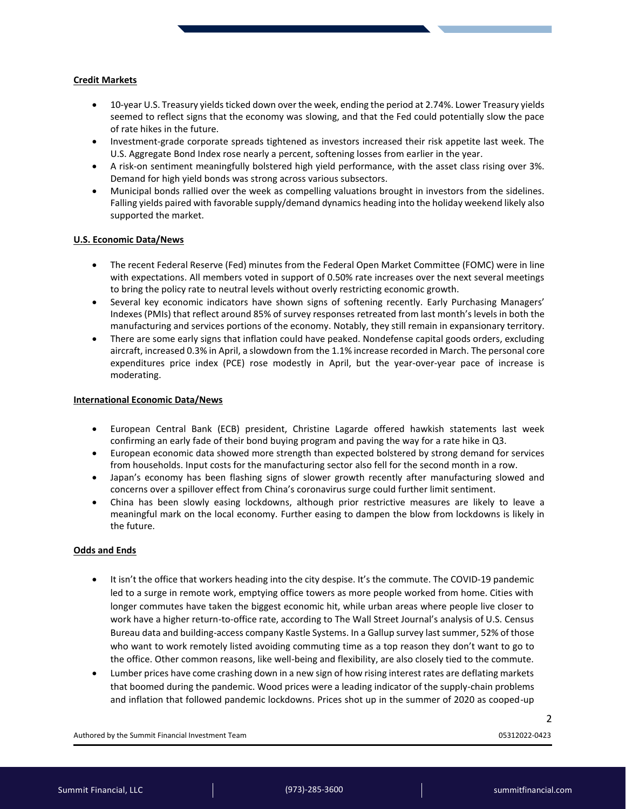#### **Credit Markets**

- 10-year U.S. Treasury yields ticked down over the week, ending the period at 2.74%. Lower Treasury yields seemed to reflect signs that the economy was slowing, and that the Fed could potentially slow the pace of rate hikes in the future.
- Investment-grade corporate spreads tightened as investors increased their risk appetite last week. The U.S. Aggregate Bond Index rose nearly a percent, softening losses from earlier in the year.
- A risk-on sentiment meaningfully bolstered high yield performance, with the asset class rising over 3%. Demand for high yield bonds was strong across various subsectors.
- Municipal bonds rallied over the week as compelling valuations brought in investors from the sidelines. Falling yields paired with favorable supply/demand dynamics heading into the holiday weekend likely also supported the market.

### **U.S. Economic Data/News**

- The recent Federal Reserve (Fed) minutes from the Federal Open Market Committee (FOMC) were in line with expectations. All members voted in support of 0.50% rate increases over the next several meetings to bring the policy rate to neutral levels without overly restricting economic growth.
- Several key economic indicators have shown signs of softening recently. Early Purchasing Managers' Indexes (PMIs) that reflect around 85% of survey responses retreated from last month's levels in both the manufacturing and services portions of the economy. Notably, they still remain in expansionary territory.
- There are some early signs that inflation could have peaked. Nondefense capital goods orders, excluding aircraft, increased 0.3% in April, a slowdown from the 1.1% increase recorded in March. The personal core expenditures price index (PCE) rose modestly in April, but the year-over-year pace of increase is moderating.

#### **International Economic Data/News**

- European Central Bank (ECB) president, Christine Lagarde offered hawkish statements last week confirming an early fade of their bond buying program and paving the way for a rate hike in Q3.
- European economic data showed more strength than expected bolstered by strong demand for services from households. Input costs for the manufacturing sector also fell for the second month in a row.
- Japan's economy has been flashing signs of slower growth recently after manufacturing slowed and concerns over a spillover effect from China's coronavirus surge could further limit sentiment.
- China has been slowly easing lockdowns, although prior restrictive measures are likely to leave a meaningful mark on the local economy. Further easing to dampen the blow from lockdowns is likely in the future.

### **Odds and Ends**

- It isn't the office that workers heading into the city despise. It's the commute. The COVID-19 pandemic led to a surge in remote work, emptying office towers as more people worked from home. Cities with longer commutes have taken the biggest economic hit, while urban areas where people live closer to work have a higher return-to-office rate, according to The Wall Street Journal's analysis of U.S. Census Bureau data and building-access company Kastle Systems. In a Gallup survey last summer, 52% of those who want to work remotely listed avoiding commuting time as a top reason they don't want to go to the office. Other common reasons, like well-being and flexibility, are also closely tied to the commute.
- Lumber prices have come crashing down in a new sign of how rising interest rates are deflating markets that boomed during the pandemic. Wood prices were a leading indicator of the supply-chain problems and inflation that followed pandemic lockdowns. Prices shot up in the summer of 2020 as cooped-up

Authored by the Summit Financial Investment Team 05312022-0423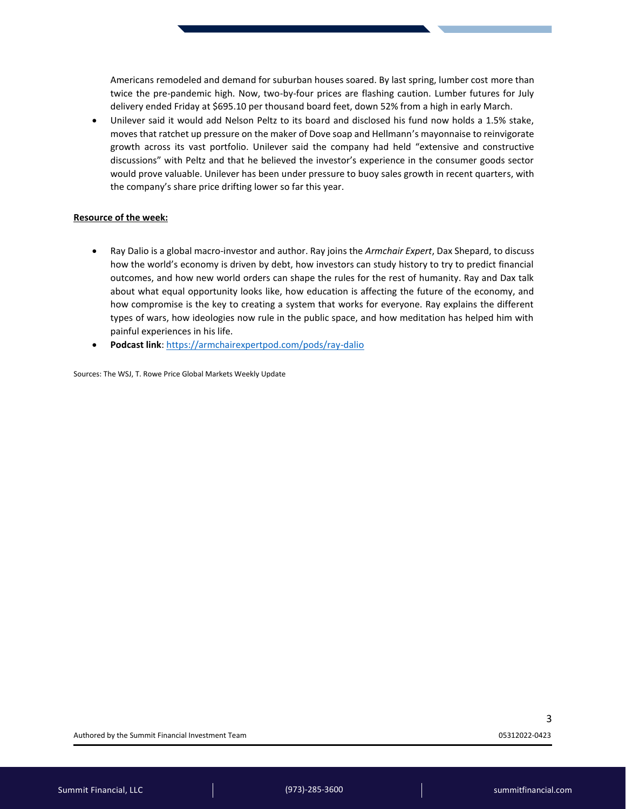Americans remodeled and demand for suburban houses soared. By last spring, lumber cost more than twice the pre-pandemic high. Now, two-by-four prices are flashing caution. Lumber futures for July delivery ended Friday at \$695.10 per thousand board feet, down 52% from a high in early March.

• Unilever said it would add Nelson Peltz to its board and disclosed his fund now holds a 1.5% stake, moves that ratchet up pressure on the maker of Dove soap and Hellmann's mayonnaise to reinvigorate growth across its vast portfolio. Unilever said the company had held "extensive and constructive discussions" with Peltz and that he believed the investor's experience in the consumer goods sector would prove valuable. Unilever has been under pressure to buoy sales growth in recent quarters, with the company's share price drifting lower so far this year.

#### **Resource of the week:**

- Ray Dalio is a global macro-investor and author. Ray joins the *Armchair Expert*, Dax Shepard, to discuss how the world's economy is driven by debt, how investors can study history to try to predict financial outcomes, and how new world orders can shape the rules for the rest of humanity. Ray and Dax talk about what equal opportunity looks like, how education is affecting the future of the economy, and how compromise is the key to creating a system that works for everyone. Ray explains the different types of wars, how ideologies now rule in the public space, and how meditation has helped him with painful experiences in his life.
- **Podcast link**:<https://armchairexpertpod.com/pods/ray-dalio>

Sources: The WSJ, T. Rowe Price Global Markets Weekly Update